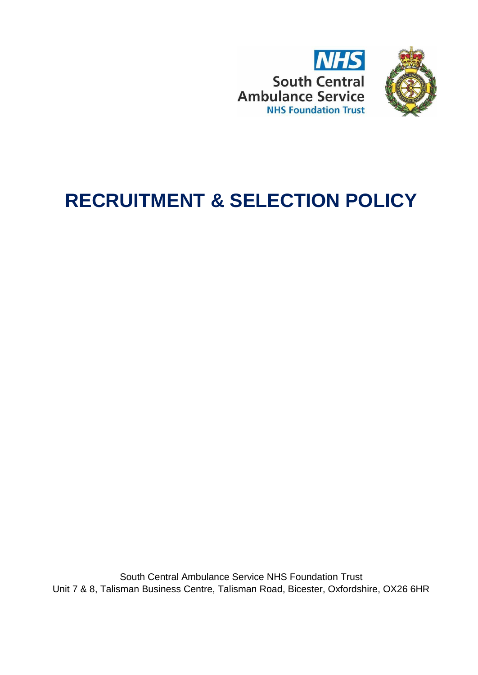



# **RECRUITMENT & SELECTION POLICY**

South Central Ambulance Service NHS Foundation Trust Unit 7 & 8, Talisman Business Centre, Talisman Road, Bicester, Oxfordshire, OX26 6HR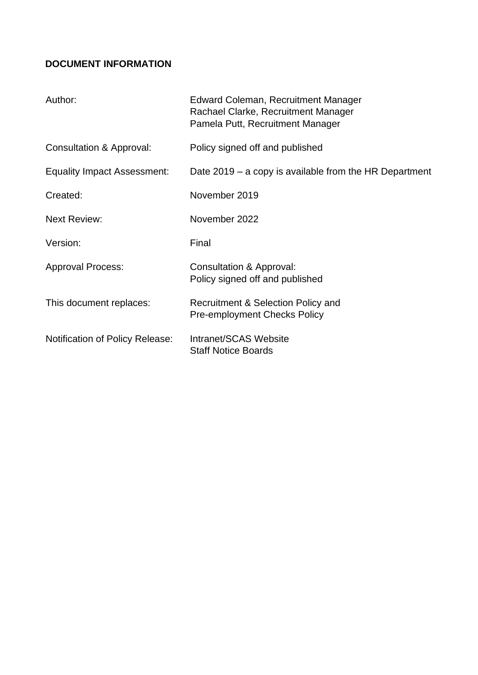# <span id="page-1-0"></span>**DOCUMENT INFORMATION**

| Author:                                | Edward Coleman, Recruitment Manager<br>Rachael Clarke, Recruitment Manager<br>Pamela Putt, Recruitment Manager |
|----------------------------------------|----------------------------------------------------------------------------------------------------------------|
| Consultation & Approval:               | Policy signed off and published                                                                                |
| <b>Equality Impact Assessment:</b>     | Date $2019 - a$ copy is available from the HR Department                                                       |
| Created:                               | November 2019                                                                                                  |
| <b>Next Review:</b>                    | November 2022                                                                                                  |
| Version:                               | Final                                                                                                          |
| <b>Approval Process:</b>               | Consultation & Approval:<br>Policy signed off and published                                                    |
| This document replaces:                | Recruitment & Selection Policy and<br><b>Pre-employment Checks Policy</b>                                      |
| <b>Notification of Policy Release:</b> | Intranet/SCAS Website<br><b>Staff Notice Boards</b>                                                            |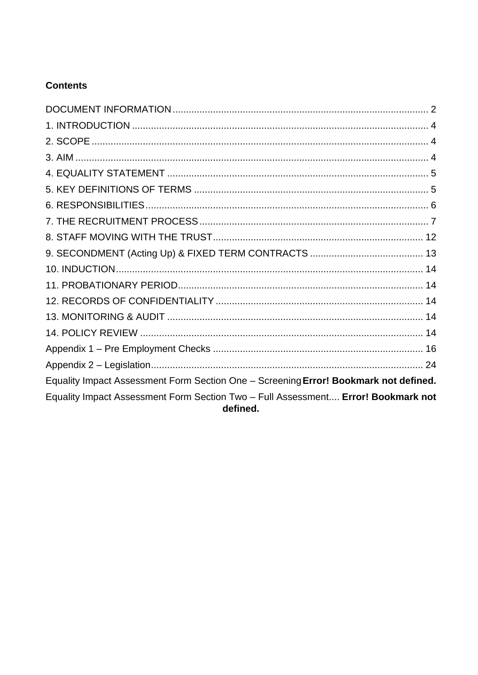# **Contents**

| Equality Impact Assessment Form Section One - Screening Error! Bookmark not defined.          |  |
|-----------------------------------------------------------------------------------------------|--|
| Equality Impact Assessment Form Section Two - Full Assessment Error! Bookmark not<br>defined. |  |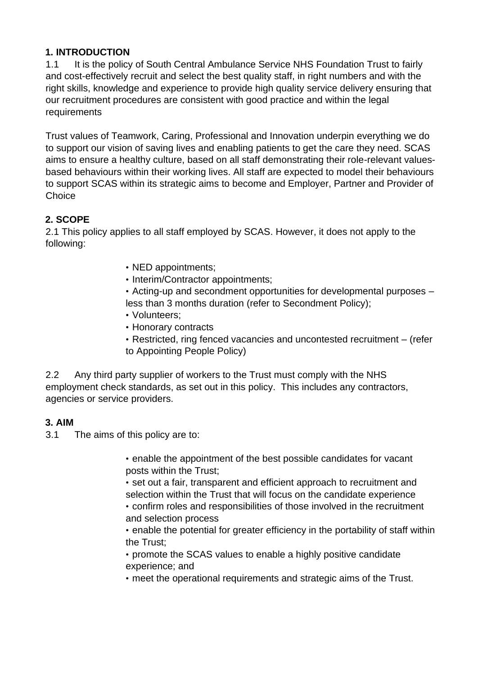#### <span id="page-3-0"></span>**1. INTRODUCTION**

1.1 It is the policy of South Central Ambulance Service NHS Foundation Trust to fairly and cost-effectively recruit and select the best quality staff, in right numbers and with the right skills, knowledge and experience to provide high quality service delivery ensuring that our recruitment procedures are consistent with good practice and within the legal requirements

Trust values of Teamwork, Caring, Professional and Innovation underpin everything we do to support our vision of saving lives and enabling patients to get the care they need. SCAS aims to ensure a healthy culture, based on all staff demonstrating their role-relevant valuesbased behaviours within their working lives. All staff are expected to model their behaviours to support SCAS within its strategic aims to become and Employer, Partner and Provider of **Choice** 

## <span id="page-3-1"></span>**2. SCOPE**

2.1 This policy applies to all staff employed by SCAS. However, it does not apply to the following:

- NED appointments;
- Interim/Contractor appointments;
- Acting-up and secondment opportunities for developmental purposes less than 3 months duration (refer to Secondment Policy);
- Volunteers;
- Honorary contracts
- Restricted, ring fenced vacancies and uncontested recruitment (refer to Appointing People Policy)

2.2 Any third party supplier of workers to the Trust must comply with the NHS employment check standards, as set out in this policy. This includes any contractors, agencies or service providers.

#### <span id="page-3-2"></span>**3. AIM**

3.1 The aims of this policy are to:

• enable the appointment of the best possible candidates for vacant posts within the Trust;

• set out a fair, transparent and efficient approach to recruitment and selection within the Trust that will focus on the candidate experience • confirm roles and responsibilities of those involved in the recruitment and selection process

• enable the potential for greater efficiency in the portability of staff within the Trust;

• promote the SCAS values to enable a highly positive candidate experience; and

• meet the operational requirements and strategic aims of the Trust.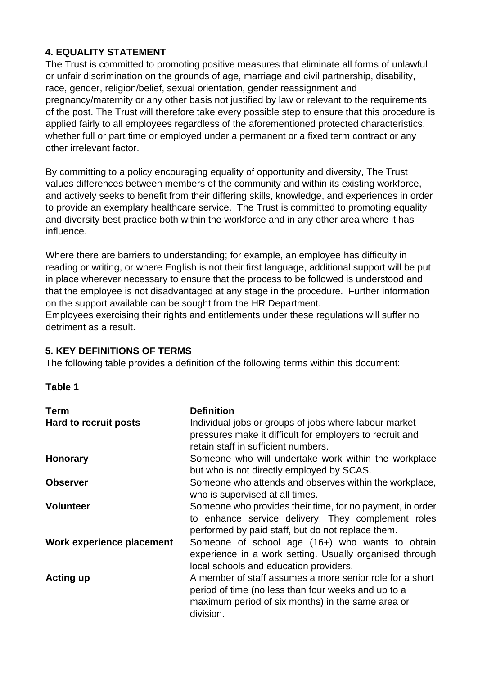## <span id="page-4-0"></span>**4. EQUALITY STATEMENT**

The Trust is committed to promoting positive measures that eliminate all forms of unlawful or unfair discrimination on the grounds of age, marriage and civil partnership, disability, race, gender, religion/belief, sexual orientation, gender reassignment and pregnancy/maternity or any other basis not justified by law or relevant to the requirements of the post. The Trust will therefore take every possible step to ensure that this procedure is applied fairly to all employees regardless of the aforementioned protected characteristics, whether full or part time or employed under a permanent or a fixed term contract or any other irrelevant factor.

By committing to a policy encouraging equality of opportunity and diversity, The Trust values differences between members of the community and within its existing workforce, and actively seeks to benefit from their differing skills, knowledge, and experiences in order to provide an exemplary healthcare service. The Trust is committed to promoting equality and diversity best practice both within the workforce and in any other area where it has influence.

Where there are barriers to understanding; for example, an employee has difficulty in reading or writing, or where English is not their first language, additional support will be put in place wherever necessary to ensure that the process to be followed is understood and that the employee is not disadvantaged at any stage in the procedure. Further information on the support available can be sought from the HR Department.

Employees exercising their rights and entitlements under these regulations will suffer no detriment as a result.

#### <span id="page-4-1"></span>**5. KEY DEFINITIONS OF TERMS**

The following table provides a definition of the following terms within this document:

#### **Table 1**

| <b>Term</b>               | <b>Definition</b>                                                                                                                                                                 |
|---------------------------|-----------------------------------------------------------------------------------------------------------------------------------------------------------------------------------|
| Hard to recruit posts     | Individual jobs or groups of jobs where labour market<br>pressures make it difficult for employers to recruit and<br>retain staff in sufficient numbers.                          |
| <b>Honorary</b>           | Someone who will undertake work within the workplace<br>but who is not directly employed by SCAS.                                                                                 |
| <b>Observer</b>           | Someone who attends and observes within the workplace,<br>who is supervised at all times.                                                                                         |
| <b>Volunteer</b>          | Someone who provides their time, for no payment, in order<br>to enhance service delivery. They complement roles<br>performed by paid staff, but do not replace them.              |
| Work experience placement | Someone of school age (16+) who wants to obtain<br>experience in a work setting. Usually organised through<br>local schools and education providers.                              |
| Acting up                 | A member of staff assumes a more senior role for a short<br>period of time (no less than four weeks and up to a<br>maximum period of six months) in the same area or<br>division. |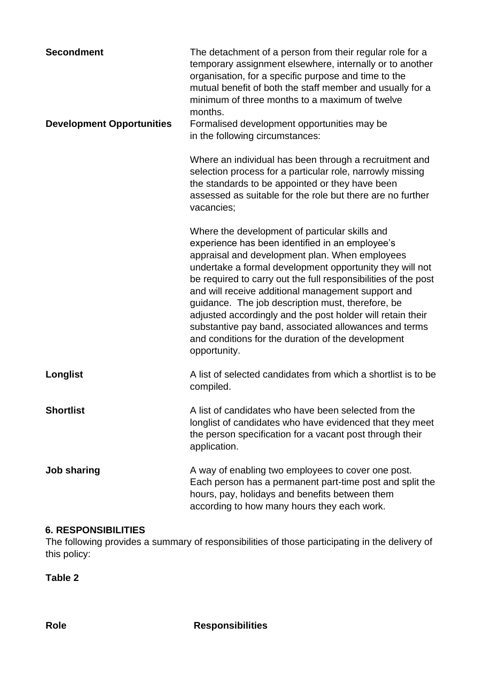| <b>Secondment</b>                | The detachment of a person from their regular role for a<br>temporary assignment elsewhere, internally or to another<br>organisation, for a specific purpose and time to the<br>mutual benefit of both the staff member and usually for a<br>minimum of three months to a maximum of twelve<br>months.                                                                                                                                                                                                                                                                                    |
|----------------------------------|-------------------------------------------------------------------------------------------------------------------------------------------------------------------------------------------------------------------------------------------------------------------------------------------------------------------------------------------------------------------------------------------------------------------------------------------------------------------------------------------------------------------------------------------------------------------------------------------|
| <b>Development Opportunities</b> | Formalised development opportunities may be<br>in the following circumstances:                                                                                                                                                                                                                                                                                                                                                                                                                                                                                                            |
|                                  | Where an individual has been through a recruitment and<br>selection process for a particular role, narrowly missing<br>the standards to be appointed or they have been<br>assessed as suitable for the role but there are no further<br>vacancies;                                                                                                                                                                                                                                                                                                                                        |
|                                  | Where the development of particular skills and<br>experience has been identified in an employee's<br>appraisal and development plan. When employees<br>undertake a formal development opportunity they will not<br>be required to carry out the full responsibilities of the post<br>and will receive additional management support and<br>guidance. The job description must, therefore, be<br>adjusted accordingly and the post holder will retain their<br>substantive pay band, associated allowances and terms<br>and conditions for the duration of the development<br>opportunity. |
| Longlist                         | A list of selected candidates from which a shortlist is to be<br>compiled.                                                                                                                                                                                                                                                                                                                                                                                                                                                                                                                |
| <b>Shortlist</b>                 | A list of candidates who have been selected from the<br>longlist of candidates who have evidenced that they meet<br>the person specification for a vacant post through their<br>application.                                                                                                                                                                                                                                                                                                                                                                                              |
| <b>Job sharing</b>               | A way of enabling two employees to cover one post.<br>Each person has a permanent part-time post and split the<br>hours, pay, holidays and benefits between them<br>according to how many hours they each work.                                                                                                                                                                                                                                                                                                                                                                           |

#### <span id="page-5-0"></span>**6. RESPONSIBILITIES**

The following provides a summary of responsibilities of those participating in the delivery of this policy:

**Table 2**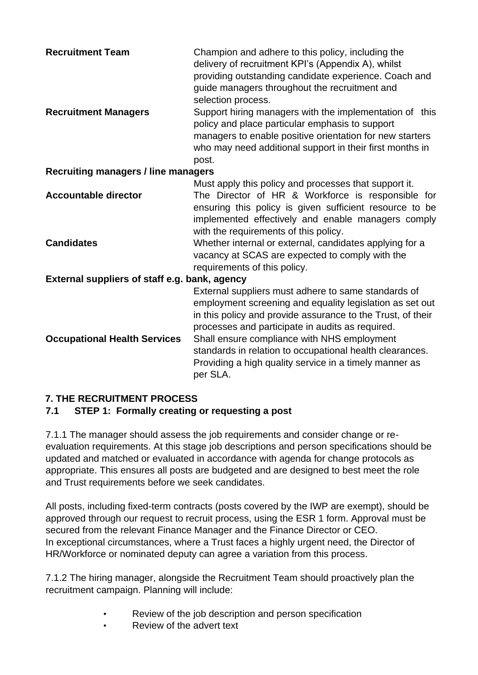| <b>Recruitment Team</b>                          | Champion and adhere to this policy, including the<br>delivery of recruitment KPI's (Appendix A), whilst<br>providing outstanding candidate experience. Coach and<br>guide managers throughout the recruitment and<br>selection process.                                                                                                                                                                             |  |
|--------------------------------------------------|---------------------------------------------------------------------------------------------------------------------------------------------------------------------------------------------------------------------------------------------------------------------------------------------------------------------------------------------------------------------------------------------------------------------|--|
| <b>Recruitment Managers</b>                      | Support hiring managers with the implementation of this<br>policy and place particular emphasis to support<br>managers to enable positive orientation for new starters<br>who may need additional support in their first months in<br>post.                                                                                                                                                                         |  |
| <b>Recruiting managers / line managers</b>       |                                                                                                                                                                                                                                                                                                                                                                                                                     |  |
|                                                  | Must apply this policy and processes that support it.                                                                                                                                                                                                                                                                                                                                                               |  |
| <b>Accountable director</b><br><b>Candidates</b> | The Director of HR & Workforce is responsible for<br>ensuring this policy is given sufficient resource to be<br>implemented effectively and enable managers comply<br>with the requirements of this policy.<br>Whether internal or external, candidates applying for a                                                                                                                                              |  |
|                                                  | vacancy at SCAS are expected to comply with the<br>requirements of this policy.                                                                                                                                                                                                                                                                                                                                     |  |
| External suppliers of staff e.g. bank, agency    |                                                                                                                                                                                                                                                                                                                                                                                                                     |  |
| <b>Occupational Health Services</b>              | External suppliers must adhere to same standards of<br>employment screening and equality legislation as set out<br>in this policy and provide assurance to the Trust, of their<br>processes and participate in audits as required.<br>Shall ensure compliance with NHS employment<br>standards in relation to occupational health clearances.<br>Providing a high quality service in a timely manner as<br>per SLA. |  |

## <span id="page-6-0"></span>**7. THE RECRUITMENT PROCESS**

## **7.1 STEP 1: Formally creating or requesting a post**

7.1.1 The manager should assess the job requirements and consider change or reevaluation requirements. At this stage job descriptions and person specifications should be updated and matched or evaluated in accordance with agenda for change protocols as appropriate. This ensures all posts are budgeted and are designed to best meet the role and Trust requirements before we seek candidates.

All posts, including fixed-term contracts (posts covered by the IWP are exempt), should be approved through our request to recruit process, using the ESR 1 form. Approval must be secured from the relevant Finance Manager and the Finance Director or CEO. In exceptional circumstances, where a Trust faces a highly urgent need, the Director of HR/Workforce or nominated deputy can agree a variation from this process.

7.1.2 The hiring manager, alongside the Recruitment Team should proactively plan the recruitment campaign. Planning will include:

- Review of the job description and person specification
- Review of the advert text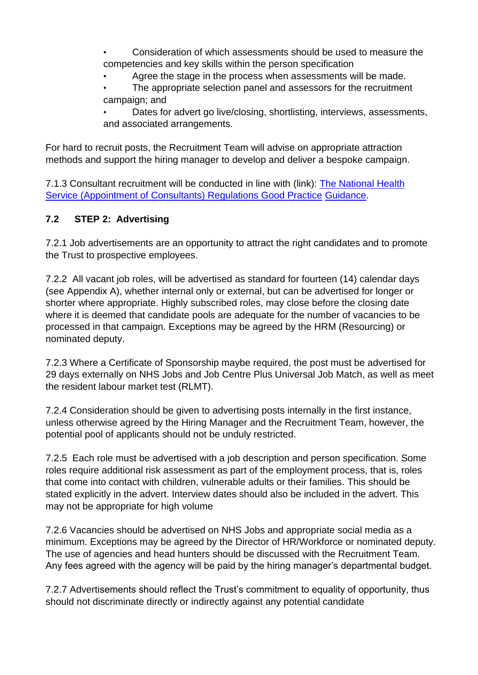- Consideration of which assessments should be used to measure the competencies and key skills within the person specification
	- Agree the stage in the process when assessments will be made.
- The appropriate selection panel and assessors for the recruitment campaign; and

Dates for advert go live/closing, shortlisting, interviews, assessments, and associated arrangements.

For hard to recruit posts, the Recruitment Team will advise on appropriate attraction methods and support the hiring manager to develop and deliver a bespoke campaign.

7.1.3 Consultant recruitment will be conducted in line with (link): [The National Health](http://www.legislation.gov.uk/uksi/1996/701/contents/made) [Service \(Appointment of Consultants\) Regulations Good Practice](http://www.legislation.gov.uk/uksi/1996/701/contents/made) [Guidance.](http://www.legislation.gov.uk/uksi/1996/701/contents/made) 

## **7.2 STEP 2: Advertising**

7.2.1 Job advertisements are an opportunity to attract the right candidates and to promote the Trust to prospective employees.

7.2.2 All vacant job roles, will be advertised as standard for fourteen (14) calendar days (see Appendix A), whether internal only or external, but can be advertised for longer or shorter where appropriate. Highly subscribed roles, may close before the closing date where it is deemed that candidate pools are adequate for the number of vacancies to be processed in that campaign. Exceptions may be agreed by the HRM (Resourcing) or nominated deputy.

7.2.3 Where a Certificate of Sponsorship maybe required, the post must be advertised for 29 days externally on NHS Jobs and Job Centre Plus Universal Job Match, as well as meet the resident labour market test (RLMT).

7.2.4 Consideration should be given to advertising posts internally in the first instance, unless otherwise agreed by the Hiring Manager and the Recruitment Team, however, the potential pool of applicants should not be unduly restricted.

7.2.5 Each role must be advertised with a job description and person specification. Some roles require additional risk assessment as part of the employment process, that is, roles that come into contact with children, vulnerable adults or their families. This should be stated explicitly in the advert. Interview dates should also be included in the advert. This may not be appropriate for high volume

7.2.6 Vacancies should be advertised on NHS Jobs and appropriate social media as a minimum. Exceptions may be agreed by the Director of HR/Workforce or nominated deputy. The use of agencies and head hunters should be discussed with the Recruitment Team. Any fees agreed with the agency will be paid by the hiring manager's departmental budget.

7.2.7 Advertisements should reflect the Trust's commitment to equality of opportunity, thus should not discriminate directly or indirectly against any potential candidate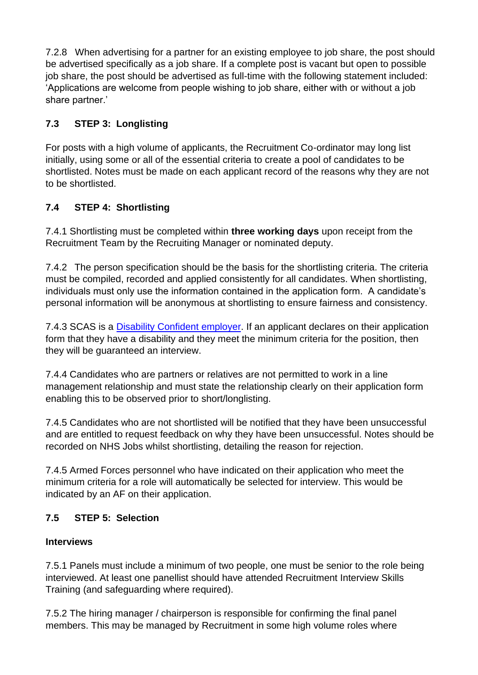7.2.8 When advertising for a partner for an existing employee to job share, the post should be advertised specifically as a job share. If a complete post is vacant but open to possible job share, the post should be advertised as full-time with the following statement included: 'Applications are welcome from people wishing to job share, either with or without a job share partner.'

## **7.3 STEP 3: Longlisting**

For posts with a high volume of applicants, the Recruitment Co-ordinator may long list initially, using some or all of the essential criteria to create a pool of candidates to be shortlisted. Notes must be made on each applicant record of the reasons why they are not to be shortlisted.

## **7.4 STEP 4: Shortlisting**

7.4.1 Shortlisting must be completed within **three working days** upon receipt from the Recruitment Team by the Recruiting Manager or nominated deputy.

7.4.2 The person specification should be the basis for the shortlisting criteria. The criteria must be compiled, recorded and applied consistently for all candidates. When shortlisting, individuals must only use the information contained in the application form. A candidate's personal information will be anonymous at shortlisting to ensure fairness and consistency.

7.4.3 SCAS is a Disability Confident employer. If an applicant declares on their application form that they have a disability and they meet the minimum criteria for the position, then they will be guaranteed an interview.

7.4.4 Candidates who are partners or relatives are not permitted to work in a line management relationship and must state the relationship clearly on their application form enabling this to be observed prior to short/longlisting.

7.4.5 Candidates who are not shortlisted will be notified that they have been unsuccessful and are entitled to request feedback on why they have been unsuccessful. Notes should be recorded on NHS Jobs whilst shortlisting, detailing the reason for rejection.

7.4.5 Armed Forces personnel who have indicated on their application who meet the minimum criteria for a role will automatically be selected for interview. This would be indicated by an AF on their application.

## **7.5 STEP 5: Selection**

## **Interviews**

7.5.1 Panels must include a minimum of two people, one must be senior to the role being interviewed. At least one panellist should have attended Recruitment Interview Skills Training (and safeguarding where required).

7.5.2 The hiring manager / chairperson is responsible for confirming the final panel members. This may be managed by Recruitment in some high volume roles where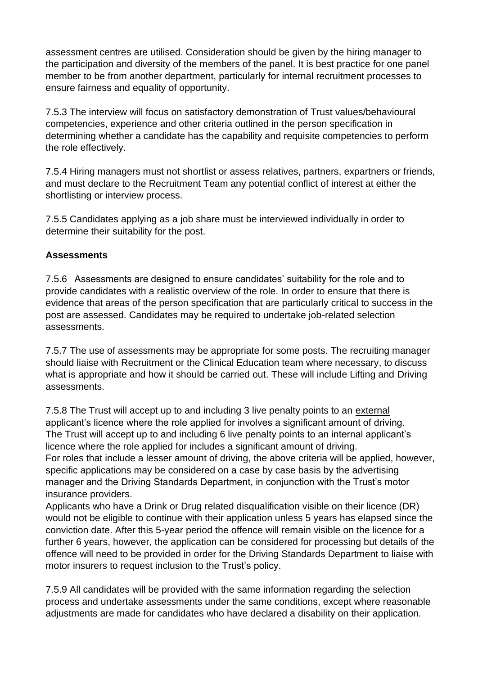assessment centres are utilised. Consideration should be given by the hiring manager to the participation and diversity of the members of the panel. It is best practice for one panel member to be from another department, particularly for internal recruitment processes to ensure fairness and equality of opportunity.

7.5.3 The interview will focus on satisfactory demonstration of Trust values/behavioural competencies, experience and other criteria outlined in the person specification in determining whether a candidate has the capability and requisite competencies to perform the role effectively.

7.5.4 Hiring managers must not shortlist or assess relatives, partners, expartners or friends, and must declare to the Recruitment Team any potential conflict of interest at either the shortlisting or interview process.

7.5.5 Candidates applying as a job share must be interviewed individually in order to determine their suitability for the post.

#### **Assessments**

7.5.6 Assessments are designed to ensure candidates' suitability for the role and to provide candidates with a realistic overview of the role. In order to ensure that there is evidence that areas of the person specification that are particularly critical to success in the post are assessed. Candidates may be required to undertake job-related selection assessments.

7.5.7 The use of assessments may be appropriate for some posts. The recruiting manager should liaise with Recruitment or the Clinical Education team where necessary, to discuss what is appropriate and how it should be carried out. These will include Lifting and Driving assessments.

7.5.8 The Trust will accept up to and including 3 live penalty points to an external applicant's licence where the role applied for involves a significant amount of driving. The Trust will accept up to and including 6 live penalty points to an internal applicant's licence where the role applied for includes a significant amount of driving. For roles that include a lesser amount of driving, the above criteria will be applied, however, specific applications may be considered on a case by case basis by the advertising manager and the Driving Standards Department, in conjunction with the Trust's motor insurance providers.

Applicants who have a Drink or Drug related disqualification visible on their licence (DR) would not be eligible to continue with their application unless 5 years has elapsed since the conviction date. After this 5-year period the offence will remain visible on the licence for a further 6 years, however, the application can be considered for processing but details of the offence will need to be provided in order for the Driving Standards Department to liaise with motor insurers to request inclusion to the Trust's policy.

7.5.9 All candidates will be provided with the same information regarding the selection process and undertake assessments under the same conditions, except where reasonable adjustments are made for candidates who have declared a disability on their application.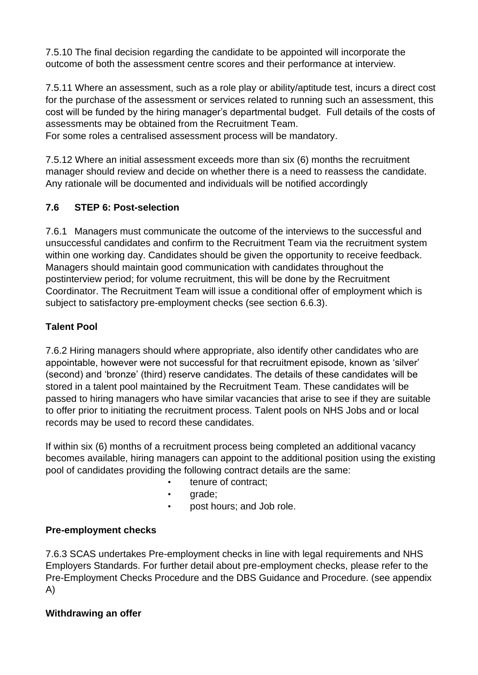7.5.10 The final decision regarding the candidate to be appointed will incorporate the outcome of both the assessment centre scores and their performance at interview.

7.5.11 Where an assessment, such as a role play or ability/aptitude test, incurs a direct cost for the purchase of the assessment or services related to running such an assessment, this cost will be funded by the hiring manager's departmental budget. Full details of the costs of assessments may be obtained from the Recruitment Team.

For some roles a centralised assessment process will be mandatory.

7.5.12 Where an initial assessment exceeds more than six (6) months the recruitment manager should review and decide on whether there is a need to reassess the candidate. Any rationale will be documented and individuals will be notified accordingly

## **7.6 STEP 6: Post-selection**

7.6.1 Managers must communicate the outcome of the interviews to the successful and unsuccessful candidates and confirm to the Recruitment Team via the recruitment system within one working day. Candidates should be given the opportunity to receive feedback. Managers should maintain good communication with candidates throughout the postinterview period; for volume recruitment, this will be done by the Recruitment Coordinator. The Recruitment Team will issue a conditional offer of employment which is subject to satisfactory pre-employment checks (see section 6.6.3).

## **Talent Pool**

7.6.2 Hiring managers should where appropriate, also identify other candidates who are appointable, however were not successful for that recruitment episode, known as 'silver' (second) and 'bronze' (third) reserve candidates. The details of these candidates will be stored in a talent pool maintained by the Recruitment Team. These candidates will be passed to hiring managers who have similar vacancies that arise to see if they are suitable to offer prior to initiating the recruitment process. Talent pools on NHS Jobs and or local records may be used to record these candidates.

If within six (6) months of a recruitment process being completed an additional vacancy becomes available, hiring managers can appoint to the additional position using the existing pool of candidates providing the following contract details are the same:

- tenure of contract;
- grade;
- post hours; and Job role.

## **Pre-employment checks**

7.6.3 SCAS undertakes Pre-employment checks in line with legal requirements and NHS Employers Standards. For further detail about pre-employment checks, please refer to the Pre-Employment Checks Procedure and the DBS Guidance and Procedure. (see appendix A)

## **Withdrawing an offer**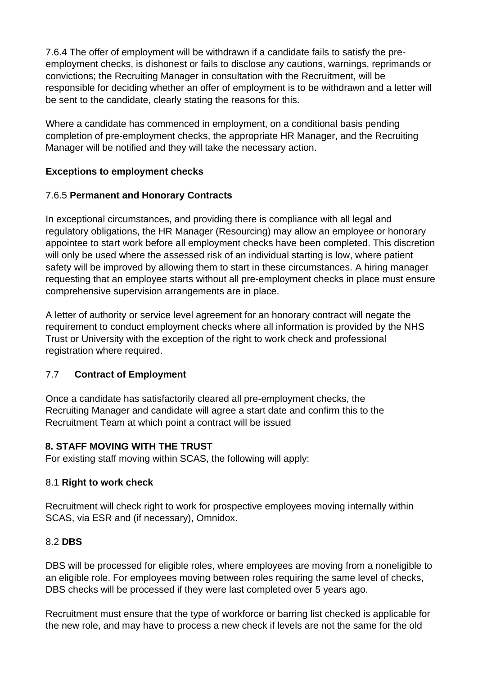7.6.4 The offer of employment will be withdrawn if a candidate fails to satisfy the preemployment checks, is dishonest or fails to disclose any cautions, warnings, reprimands or convictions; the Recruiting Manager in consultation with the Recruitment, will be responsible for deciding whether an offer of employment is to be withdrawn and a letter will be sent to the candidate, clearly stating the reasons for this.

Where a candidate has commenced in employment, on a conditional basis pending completion of pre-employment checks, the appropriate HR Manager, and the Recruiting Manager will be notified and they will take the necessary action.

#### **Exceptions to employment checks**

#### 7.6.5 **Permanent and Honorary Contracts**

In exceptional circumstances, and providing there is compliance with all legal and regulatory obligations, the HR Manager (Resourcing) may allow an employee or honorary appointee to start work before all employment checks have been completed. This discretion will only be used where the assessed risk of an individual starting is low, where patient safety will be improved by allowing them to start in these circumstances. A hiring manager requesting that an employee starts without all pre-employment checks in place must ensure comprehensive supervision arrangements are in place.

A letter of authority or service level agreement for an honorary contract will negate the requirement to conduct employment checks where all information is provided by the NHS Trust or University with the exception of the right to work check and professional registration where required.

## 7.7 **Contract of Employment**

Once a candidate has satisfactorily cleared all pre-employment checks, the Recruiting Manager and candidate will agree a start date and confirm this to the Recruitment Team at which point a contract will be issued

## <span id="page-11-0"></span>**8. STAFF MOVING WITH THE TRUST**

For existing staff moving within SCAS, the following will apply:

#### 8.[1](http://www.nhsemployers.org/your-workforce/recruit/employment-checks/right-to-work-checks) **[Right to work check](http://www.nhsemployers.org/your-workforce/recruit/employment-checks/right-to-work-checks)**

Recruitment will check right to work for prospective employees moving internally within SCAS, via ESR and (if necessary), Omnidox.

#### 8.[2](http://www.nhsemployers.org/your-workforce/recruit/employment-checks/professional-registration-and-qualification-checks) **[DBS](http://www.nhsemployers.org/your-workforce/recruit/employment-checks/professional-registration-and-qualification-checks)**

DBS will be processed for eligible roles, where employees are moving from a noneligible to an eligible role. For employees moving between roles requiring the same level of checks, DBS checks will be processed if they were last completed over 5 years ago.

Recruitment must ensure that the type of workforce or barring list checked is applicable for the new role, and may have to process a new check if levels are not the same for the old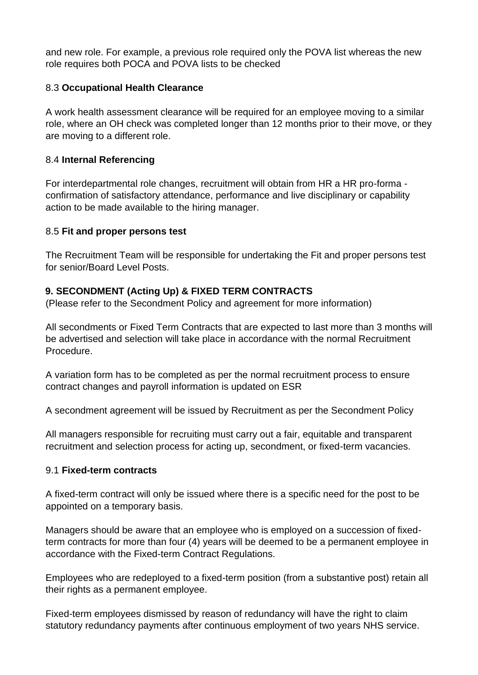and new role. For example, a previous role required only the POVA list whereas the new role requires both POCA and POVA lists to be checked

#### 8.[3](https://www.nhsemployers.org/your-workforce/recruit/employment-checks/work-health-assessments) **[Occupational Health Clearance](https://www.nhsemployers.org/your-workforce/recruit/employment-checks/work-health-assessments)**

A work health assessment clearance will be required for an employee moving to a similar role, where an OH check was completed longer than 12 months prior to their move, or they are moving to a different role.

#### 8.4 **Internal Referencing**

For interdepartmental role changes, recruitment will obtain from HR a HR pro-forma confirmation of satisfactory attendance, performance and live disciplinary or capability action to be made available to the hiring manager.

#### 8.5 **[Fit and proper persons test](http://www.nhsemployers.org/your-workforce/recruit/employment-checks/criminal-record-check/fit-and-proper-persons-requirement-for-directors)**

The Recruitment Team will be responsible for undertaking the Fit and proper persons test for senior/Board Level Posts.

## <span id="page-12-0"></span>**9. SECONDMENT (Acting Up) & FIXED TERM CONTRACTS**

(Please refer to the Secondment Policy and agreement for more information)

All secondments or Fixed Term Contracts that are expected to last more than 3 months will be advertised and selection will take place in accordance with the normal Recruitment Procedure.

A variation form has to be completed as per the normal recruitment process to ensure contract changes and payroll information is updated on ESR

A secondment agreement will be issued by Recruitment as per the Secondment Policy

All managers responsible for recruiting must carry out a fair, equitable and transparent recruitment and selection process for acting up, secondment, or fixed-term vacancies.

#### 9.1 **Fixed-term contracts**

A fixed-term contract will only be issued where there is a specific need for the post to be appointed on a temporary basis.

Managers should be aware that an employee who is employed on a succession of fixedterm contracts for more than four (4) years will be deemed to be a permanent employee in accordance with the Fixed-term Contract Regulations.

Employees who are redeployed to a fixed-term position (from a substantive post) retain all their rights as a permanent employee.

Fixed-term employees dismissed by reason of redundancy will have the right to claim statutory redundancy payments after continuous employment of two years NHS service.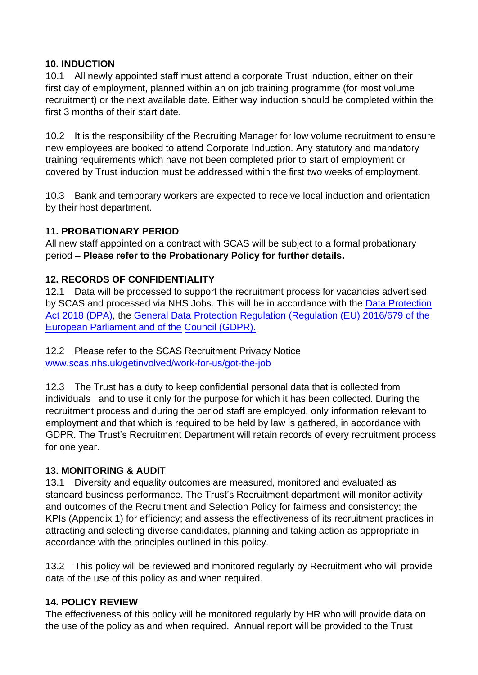#### <span id="page-13-0"></span>**10. INDUCTION**

10.1 All newly appointed staff must attend a corporate Trust induction, either on their first day of employment, planned within an on job training programme (for most volume recruitment) or the next available date. Either way induction should be completed within the first 3 months of their start date.

10.2 It is the responsibility of the Recruiting Manager for low volume recruitment to ensure new employees are booked to attend Corporate Induction. Any statutory and mandatory training requirements which have not been completed prior to start of employment or covered by Trust induction must be addressed within the first two weeks of employment.

10.3 Bank and temporary workers are expected to receive local induction and orientation by their host department.

#### <span id="page-13-1"></span>**11. PROBATIONARY PERIOD**

All new staff appointed on a contract with SCAS will be subject to a formal probationary period – **Please refer to the Probationary Policy for further details.** 

#### <span id="page-13-2"></span>**12. RECORDS OF CONFIDENTIALITY**

12.1 Data will be processed to support the recruitment process for vacancies advertised by SCAS and processed via NHS Jobs. This will be in accordance with the [Data Protection](http://www.legislation.gov.uk/ukpga/2018/12/contents/enacted)  [Act 2018 \(DPA\),](http://www.legislation.gov.uk/ukpga/2018/12/contents/enacted) the [General Data Protection](https://eur-lex.europa.eu/legal-content/EN/TXT/?uri=celex%3A32016R0679) [Regulation \(Regulation \(EU\) 2016/679 of the](https://eur-lex.europa.eu/legal-content/EN/TXT/?uri=celex%3A32016R0679)  [European Parliament and of the](https://eur-lex.europa.eu/legal-content/EN/TXT/?uri=celex%3A32016R0679) [Council \(GDPR\).](https://eur-lex.europa.eu/legal-content/EN/TXT/?uri=celex%3A32016R0679)

12.2 Please refer to the SCAS Recruitment Privacy Notice. [www.scas.nhs.uk/getinvolved/work-for-us/got-the-job](http://www.scas.nhs.uk/get-involved/work-for-us/got-the-job)

12.3 The Trust has a duty to keep confidential personal data that is collected from individuals and to use it only for the purpose for which it has been collected. During the recruitment process and during the period staff are employed, only information relevant to employment and that which is required to be held by law is gathered, in accordance with GDPR. The Trust's Recruitment Department will retain records of every recruitment process for one year.

#### <span id="page-13-3"></span>**13. MONITORING & AUDIT**

13.1 Diversity and equality outcomes are measured, monitored and evaluated as standard business performance. The Trust's Recruitment department will monitor activity and outcomes of the Recruitment and Selection Policy for fairness and consistency; the KPIs (Appendix 1) for efficiency; and assess the effectiveness of its recruitment practices in attracting and selecting diverse candidates, planning and taking action as appropriate in accordance with the principles outlined in this policy.

13.2 This policy will be reviewed and monitored regularly by Recruitment who will provide data of the use of this policy as and when required.

#### <span id="page-13-4"></span>**14. POLICY REVIEW**

The effectiveness of this policy will be monitored regularly by HR who will provide data on the use of the policy as and when required. Annual report will be provided to the Trust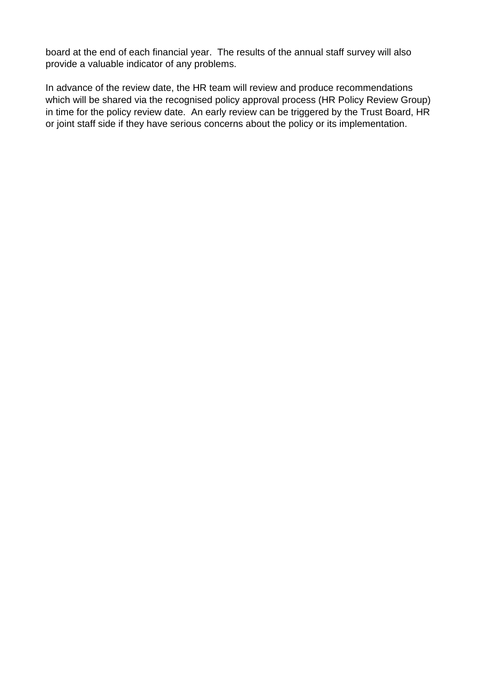board at the end of each financial year. The results of the annual staff survey will also provide a valuable indicator of any problems.

In advance of the review date, the HR team will review and produce recommendations which will be shared via the recognised policy approval process (HR Policy Review Group) in time for the policy review date. An early review can be triggered by the Trust Board, HR or joint staff side if they have serious concerns about the policy or its implementation.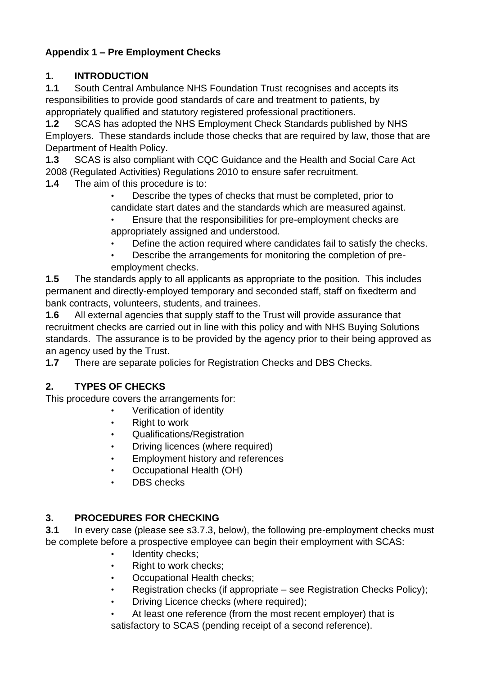# <span id="page-15-0"></span>**Appendix 1 – Pre Employment Checks**

## **1. INTRODUCTION**

**1.1** South Central Ambulance NHS Foundation Trust recognises and accepts its responsibilities to provide good standards of care and treatment to patients, by appropriately qualified and statutory registered professional practitioners.

**1.2** SCAS has adopted the NHS Employment Check Standards published by NHS Employers. These standards include those checks that are required by law, those that are Department of Health Policy.

**1.3** SCAS is also compliant with CQC Guidance and the Health and Social Care Act 2008 (Regulated Activities) Regulations 2010 to ensure safer recruitment.

**1.4** The aim of this procedure is to:

• Describe the types of checks that must be completed, prior to candidate start dates and the standards which are measured against.

- Ensure that the responsibilities for pre-employment checks are appropriately assigned and understood.
	- Define the action required where candidates fail to satisfy the checks.
	- Describe the arrangements for monitoring the completion of preemployment checks.

**1.5** The standards apply to all applicants as appropriate to the position. This includes permanent and directly-employed temporary and seconded staff, staff on fixedterm and bank contracts, volunteers, students, and trainees.

**1.6** All external agencies that supply staff to the Trust will provide assurance that recruitment checks are carried out in line with this policy and with NHS Buying Solutions standards. The assurance is to be provided by the agency prior to their being approved as an agency used by the Trust.

**1.7** There are separate policies for Registration Checks and DBS Checks.

# **2. TYPES OF CHECKS**

This procedure covers the arrangements for:

- Verification of identity
- Right to work
- Qualifications/Registration
- Driving licences (where required)
- Employment history and references
- Occupational Health (OH)
- DBS checks

## **3. PROCEDURES FOR CHECKING**

**3.1** In every case (please see s3.7.3, below), the following pre-employment checks must be complete before a prospective employee can begin their employment with SCAS:

- Identity checks;
- Right to work checks;
- Occupational Health checks;
- Registration checks (if appropriate see Registration Checks Policy);
- Driving Licence checks (where required);

At least one reference (from the most recent employer) that is satisfactory to SCAS (pending receipt of a second reference).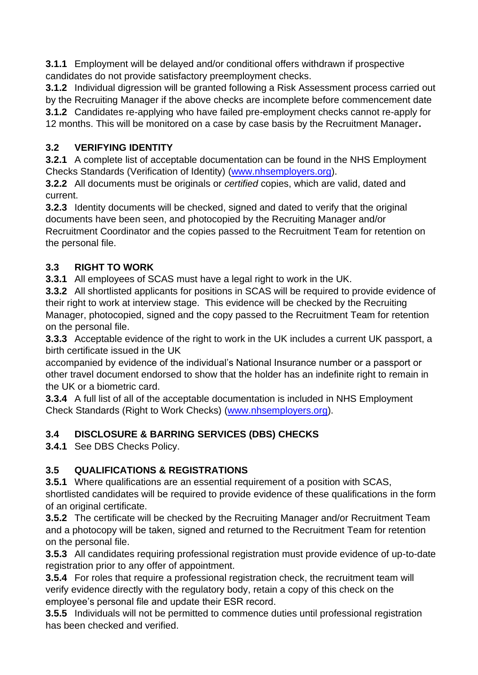**3.1.1** Employment will be delayed and/or conditional offers withdrawn if prospective candidates do not provide satisfactory preemployment checks.

**3.1.2** Individual digression will be granted following a Risk Assessment process carried out by the Recruiting Manager if the above checks are incomplete before commencement date **3.1.2** Candidates re-applying who have failed pre-employment checks cannot re-apply for 12 months. This will be monitored on a case by case basis by the Recruitment Manager**.**

## **3.2 VERIFYING IDENTITY**

**3.2.1** A complete list of acceptable documentation can be found in the NHS Employment Checks Standards (Verification of Identity) [\(www.nhsemployers.org\).](http://www.nhsemployers.org/)

**3.2.2** All documents must be originals or *certified* copies, which are valid, dated and current.

**3.2.3** Identity documents will be checked, signed and dated to verify that the original documents have been seen, and photocopied by the Recruiting Manager and/or Recruitment Coordinator and the copies passed to the Recruitment Team for retention on the personal file.

## **3.3 RIGHT TO WORK**

**3.3.1** All employees of SCAS must have a legal right to work in the UK.

**3.3.2** All shortlisted applicants for positions in SCAS will be required to provide evidence of their right to work at interview stage. This evidence will be checked by the Recruiting Manager, photocopied, signed and the copy passed to the Recruitment Team for retention on the personal file.

**3.3.3** Acceptable evidence of the right to work in the UK includes a current UK passport, a birth certificate issued in the UK

accompanied by evidence of the individual's National Insurance number or a passport or other travel document endorsed to show that the holder has an indefinite right to remain in the UK or a biometric card.

**3.3.4** A full list of all of the acceptable documentation is included in NHS Employment Check Standards (Right to Work Checks) [\(www.nhsemployers.org\).](http://www.nhsemployers.org/)

## **3.4 DISCLOSURE & BARRING SERVICES (DBS) CHECKS**

**3.4.1** See DBS Checks Policy.

# **3.5 QUALIFICATIONS & REGISTRATIONS**

**3.5.1** Where qualifications are an essential requirement of a position with SCAS, shortlisted candidates will be required to provide evidence of these qualifications in the form of an original certificate.

**3.5.2** The certificate will be checked by the Recruiting Manager and/or Recruitment Team and a photocopy will be taken, signed and returned to the Recruitment Team for retention on the personal file.

**3.5.3** All candidates requiring professional registration must provide evidence of up-to-date registration prior to any offer of appointment.

**3.5.4** For roles that require a professional registration check, the recruitment team will verify evidence directly with the regulatory body, retain a copy of this check on the employee's personal file and update their ESR record.

**3.5.5** Individuals will not be permitted to commence duties until professional registration has been checked and verified.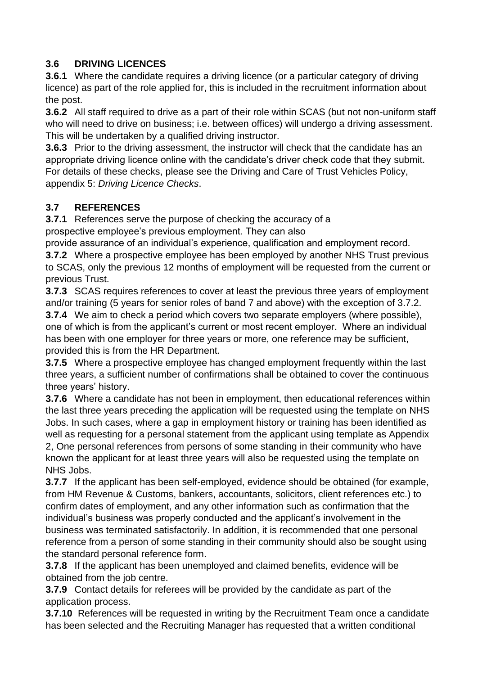## **3.6 DRIVING LICENCES**

**3.6.1** Where the candidate requires a driving licence (or a particular category of driving licence) as part of the role applied for, this is included in the recruitment information about the post.

**3.6.2** All staff required to drive as a part of their role within SCAS (but not non-uniform staff who will need to drive on business; i.e. between offices) will undergo a driving assessment. This will be undertaken by a qualified driving instructor.

**3.6.3** Prior to the driving assessment, the instructor will check that the candidate has an appropriate driving licence online with the candidate's driver check code that they submit. For details of these checks, please see the Driving and Care of Trust Vehicles Policy, appendix 5: *Driving Licence Checks*.

## **3.7 REFERENCES**

**3.7.1** References serve the purpose of checking the accuracy of a

prospective employee's previous employment. They can also

provide assurance of an individual's experience, qualification and employment record.

**3.7.2** Where a prospective employee has been employed by another NHS Trust previous to SCAS, only the previous 12 months of employment will be requested from the current or previous Trust.

**3.7.3** SCAS requires references to cover at least the previous three years of employment and/or training (5 years for senior roles of band 7 and above) with the exception of 3.7.2.

**3.7.4** We aim to check a period which covers two separate employers (where possible), one of which is from the applicant's current or most recent employer. Where an individual has been with one employer for three years or more, one reference may be sufficient, provided this is from the HR Department.

**3.7.5** Where a prospective employee has changed employment frequently within the last three years, a sufficient number of confirmations shall be obtained to cover the continuous three years' history.

**3.7.6** Where a candidate has not been in employment, then educational references within the last three years preceding the application will be requested using the template on NHS Jobs. In such cases, where a gap in employment history or training has been identified as well as requesting for a personal statement from the applicant using template as Appendix 2, One personal references from persons of some standing in their community who have known the applicant for at least three years will also be requested using the template on NHS Jobs.

**3.7.7** If the applicant has been self-employed, evidence should be obtained (for example, from HM Revenue & Customs, bankers, accountants, solicitors, client references etc.) to confirm dates of employment, and any other information such as confirmation that the individual's business was properly conducted and the applicant's involvement in the business was terminated satisfactorily. In addition, it is recommended that one personal reference from a person of some standing in their community should also be sought using the standard personal reference form.

**3.7.8** If the applicant has been unemployed and claimed benefits, evidence will be obtained from the job centre.

**3.7.9** Contact details for referees will be provided by the candidate as part of the application process.

**3.7.10** References will be requested in writing by the Recruitment Team once a candidate has been selected and the Recruiting Manager has requested that a written conditional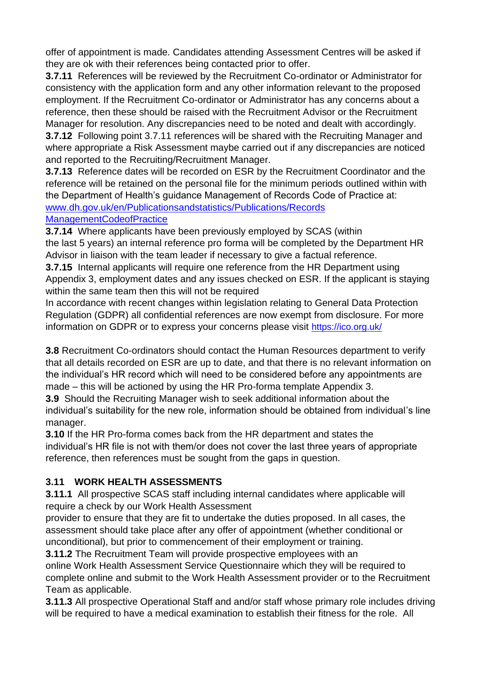offer of appointment is made. Candidates attending Assessment Centres will be asked if they are ok with their references being contacted prior to offer.

**3.7.11** References will be reviewed by the Recruitment Co-ordinator or Administrator for consistency with the application form and any other information relevant to the proposed employment. If the Recruitment Co-ordinator or Administrator has any concerns about a reference, then these should be raised with the Recruitment Advisor or the Recruitment Manager for resolution. Any discrepancies need to be noted and dealt with accordingly.

**3.7.12** Following point 3.7.11 references will be shared with the Recruiting Manager and where appropriate a Risk Assessment maybe carried out if any discrepancies are noticed and reported to the Recruiting/Recruitment Manager.

**3.7.13** Reference dates will be recorded on ESR by the Recruitment Coordinator and the reference will be retained on the personal file for the minimum periods outlined within with the Department of Health's guidance Management of Records Code of Practice at: [www.dh.gov.uk/en/Publicationsandstatistics/Publications/Records](http://www.dh.gov.uk/en/Publicationsandstatistics/Publications/RecordsManagementCodeofPractice) 

#### [ManagementCodeofPractice](http://www.dh.gov.uk/en/Publicationsandstatistics/Publications/RecordsManagementCodeofPractice)

**3.7.14** Where applicants have been previously employed by SCAS (within the last 5 years) an internal reference pro forma will be completed by the Department HR Advisor in liaison with the team leader if necessary to give a factual reference.

**3.7.15** Internal applicants will require one reference from the HR Department using Appendix 3, employment dates and any issues checked on ESR. If the applicant is staying within the same team then this will not be required

In accordance with recent changes within legislation relating to General Data Protection Regulation (GDPR) all confidential references are now exempt from disclosure. For more information on GDPR or to express your concerns please visit <https://ico.org.uk/>

**3.8** Recruitment Co-ordinators should contact the Human Resources department to verify that all details recorded on ESR are up to date, and that there is no relevant information on the individual's HR record which will need to be considered before any appointments are made – this will be actioned by using the HR Pro-forma template Appendix 3.

**3.9** Should the Recruiting Manager wish to seek additional information about the individual's suitability for the new role, information should be obtained from individual's line manager.

**3.10** If the HR Pro-forma comes back from the HR department and states the individual's HR file is not with them/or does not cover the last three years of appropriate reference, then references must be sought from the gaps in question.

## **3.11 WORK HEALTH ASSESSMENTS**

**3.11.1** All prospective SCAS staff including internal candidates where applicable will require a check by our Work Health Assessment

provider to ensure that they are fit to undertake the duties proposed. In all cases, the assessment should take place after any offer of appointment (whether conditional or unconditional), but prior to commencement of their employment or training.

**3.11.2** The Recruitment Team will provide prospective employees with an online Work Health Assessment Service Questionnaire which they will be required to complete online and submit to the Work Health Assessment provider or to the Recruitment Team as applicable.

**3.11.3** All prospective Operational Staff and and/or staff whose primary role includes driving will be required to have a medical examination to establish their fitness for the role. All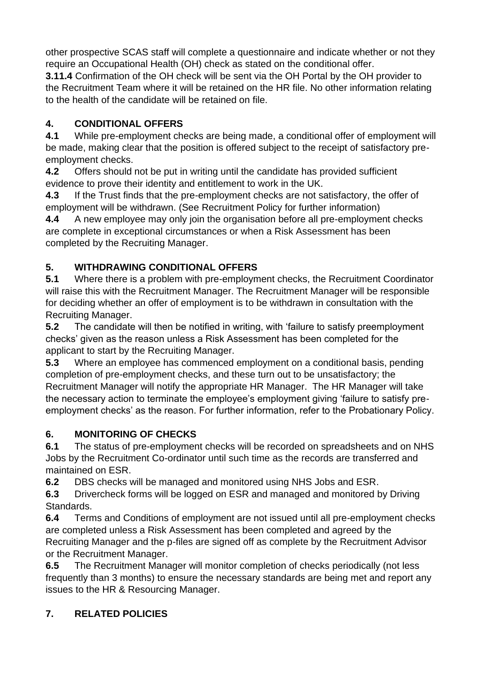other prospective SCAS staff will complete a questionnaire and indicate whether or not they require an Occupational Health (OH) check as stated on the conditional offer.

**3.11.4** Confirmation of the OH check will be sent via the OH Portal by the OH provider to the Recruitment Team where it will be retained on the HR file. No other information relating to the health of the candidate will be retained on file.

# **4. CONDITIONAL OFFERS**

**4.1** While pre-employment checks are being made, a conditional offer of employment will be made, making clear that the position is offered subject to the receipt of satisfactory preemployment checks.

**4.2** Offers should not be put in writing until the candidate has provided sufficient evidence to prove their identity and entitlement to work in the UK.

**4.3** If the Trust finds that the pre-employment checks are not satisfactory, the offer of employment will be withdrawn. (See Recruitment Policy for further information)

**4.4** A new employee may only join the organisation before all pre-employment checks are complete in exceptional circumstances or when a Risk Assessment has been completed by the Recruiting Manager.

# **5. WITHDRAWING CONDITIONAL OFFERS**

**5.1** Where there is a problem with pre-employment checks, the Recruitment Coordinator will raise this with the Recruitment Manager. The Recruitment Manager will be responsible for deciding whether an offer of employment is to be withdrawn in consultation with the Recruiting Manager.

**5.2** The candidate will then be notified in writing, with 'failure to satisfy preemployment checks' given as the reason unless a Risk Assessment has been completed for the applicant to start by the Recruiting Manager.

**5.3** Where an employee has commenced employment on a conditional basis, pending completion of pre-employment checks, and these turn out to be unsatisfactory; the Recruitment Manager will notify the appropriate HR Manager. The HR Manager will take the necessary action to terminate the employee's employment giving 'failure to satisfy preemployment checks' as the reason. For further information, refer to the Probationary Policy.

## **6. MONITORING OF CHECKS**

**6.1** The status of pre-employment checks will be recorded on spreadsheets and on NHS Jobs by the Recruitment Co-ordinator until such time as the records are transferred and maintained on ESR.

**6.2** DBS checks will be managed and monitored using NHS Jobs and ESR.

**6.3** Drivercheck forms will be logged on ESR and managed and monitored by Driving Standards.

**6.4** Terms and Conditions of employment are not issued until all pre-employment checks are completed unless a Risk Assessment has been completed and agreed by the Recruiting Manager and the p-files are signed off as complete by the Recruitment Advisor or the Recruitment Manager.

**6.5** The Recruitment Manager will monitor completion of checks periodically (not less frequently than 3 months) to ensure the necessary standards are being met and report any issues to the HR & Resourcing Manager.

## **7. RELATED POLICIES**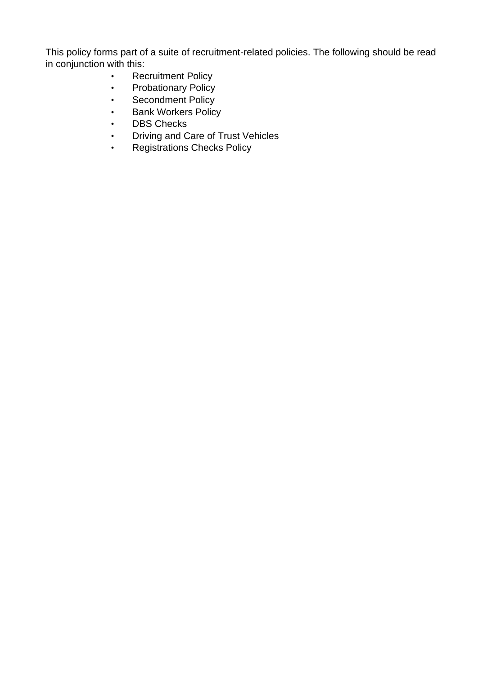This policy forms part of a suite of recruitment-related policies. The following should be read in conjunction with this:

- Recruitment Policy
- Probationary Policy
- Secondment Policy
- Bank Workers Policy
- DBS Checks
- Driving and Care of Trust Vehicles
- Registrations Checks Policy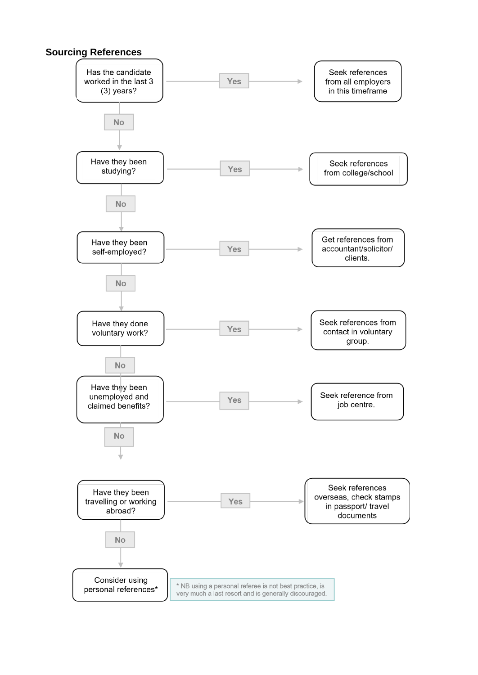#### **Sourcing References**

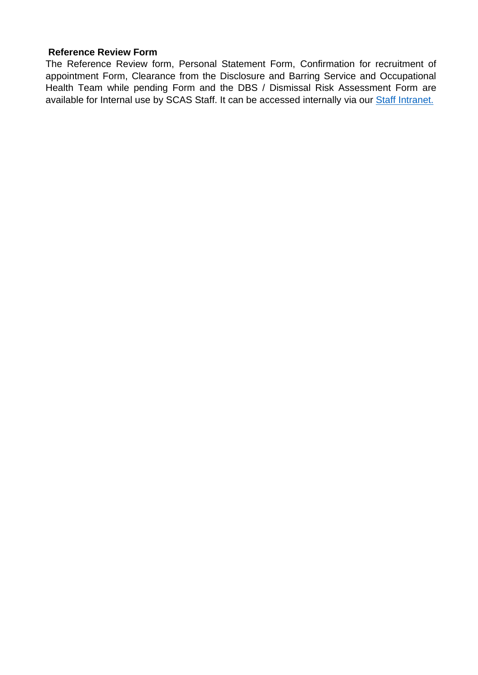#### **Reference Review Form**

The Reference Review form, Personal Statement Form, Confirmation for recruitment of appointment Form, Clearance from the Disclosure and Barring Service and Occupational Health Team while pending Form and the DBS / Dismissal Risk Assessment Form are available for Internal use by SCAS Staff. It can be accessed internally via our [Staff Intranet.](https://www.scas.nhs.uk/intranet/)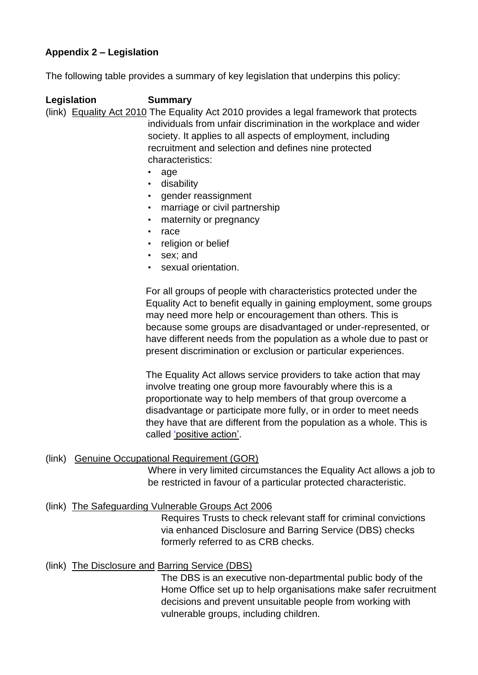## <span id="page-23-0"></span>**Appendix 2 – Legislation**

The following table provides a summary of key legislation that underpins this policy:

**Legislation Summary**  (link) [Equality Act 2010](https://www.gov.uk/guidance/equality-act-2010-guidance) [T](https://www.gov.uk/guidance/equality-act-2010-guidance)he Equality Act 2010 provides a legal framework that protects individuals from unfair discrimination in the workplace and wider society. It applies to all aspects of employment, including recruitment and selection and defines nine protected characteristics:

- age
- disability
- gender reassignment
- marriage or civil partnership
- maternity or pregnancy
- race
- religion or belief
- sex; and
- sexual orientation.

For all groups of people with characteristics protected under the Equality Act to benefit equally in gaining employment, some groups may need more help or encouragement than others. This is because some groups are disadvantaged or under-represented, or have different needs from the population as a whole due to past or present discrimination or exclusion or particular experiences.

The Equality Act allows service providers to take action that may involve treating one group more favourably where this is a proportionate way to help members of that group overcome a disadvantage or participate more fully, or in order to meet needs they have that are different from the population as a whole. This is called ['positive action'.](https://www.citizensadvice.org.uk/work/discrimination-at-work/what-doesn-t-count-as-discrimination-at-work/discrimination-at-work-positive-action/)

#### (link) Genuine Occupational Requirement (GOR)

Where in very limited circumstances the Equality Act allows a job to be restricted in favour of a particular protected characteristic.

#### (link) [The Safeguarding](http://www.legislation.gov.uk/ukpga/2006/47/contents) [Vulnerable Groups Act](http://www.legislation.gov.uk/ukpga/2006/47/contents) [2006](http://www.legislation.gov.uk/ukpga/2006/47/contents)

Requires Trusts to check relevant staff for criminal convictions via enhanced Disclosure and Barring Service (DBS) checks formerly referred to as CRB checks.

#### (link) [The Disclosure and](https://www.gov.uk/government/organisations/disclosure-and-barring-service/about) [Barring Service \(DBS\)](https://www.gov.uk/government/organisations/disclosure-and-barring-service/about)

The DBS is an executive non-departmental public body of the Home Office set up to help organisations make safer recruitment decisions and prevent unsuitable people from working with vulnerable groups, including children.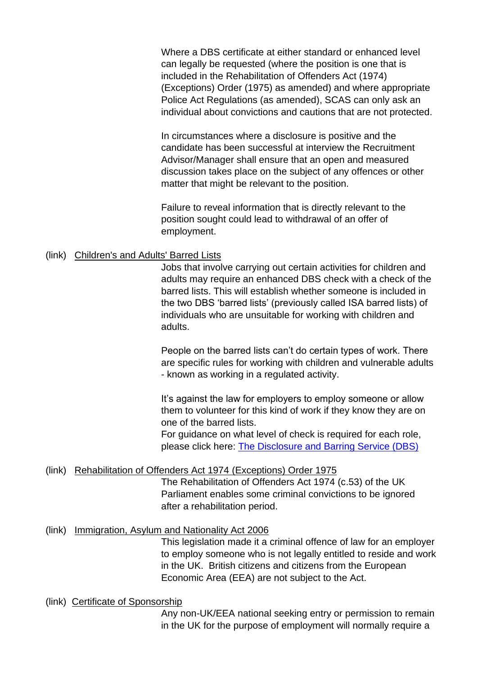Where a DBS certificate at either standard or enhanced level can legally be requested (where the position is one that is included in the Rehabilitation of Offenders Act (1974) (Exceptions) Order (1975) as amended) and where appropriate Police Act Regulations (as amended), SCAS can only ask an individual about convictions and cautions that are not protected.

In circumstances where a disclosure is positive and the candidate has been successful at interview the Recruitment Advisor/Manager shall ensure that an open and measured discussion takes place on the subject of any offences or other matter that might be relevant to the position.

Failure to reveal information that is directly relevant to the position sought could lead to withdrawal of an offer of employment.

#### (link) Children's and Adults' Barred Lists

Jobs that involve carrying out certain activities for children and adults may require an enhanced DBS check with a check of the barred lists. This will establish whether someone is included in the two DBS 'barred lists' (previously called ISA barred lists) of individuals who are unsuitable for working with children and adults.

People on the barred lists can't do certain types of work. There are specific rules for working with children and vulnerable adults - known as working in a regulated activity.

It's against the law for employers to employ someone or allow them to volunteer for this kind of work if they know they are on one of the barred lists.

For guidance on what level of check is required for each role, please click here: [The Disclosure and Barring Service \(DBS\)](https://www.gov.uk/government/organisations/disclosure-and-barring-service/about)

#### (link) [Rehabilitation of Offenders Act 1974](http://www.legislation.gov.uk/uksi/1975/1023/contents/made) (Exceptions) Order 1975

The Rehabilitation of Offenders Act 1974 (c.53) of the [UK](https://en.wikipedia.org/wiki/UK_Parliament)  [Parliament](https://en.wikipedia.org/wiki/UK_Parliament) [e](https://en.wikipedia.org/wiki/UK_Parliament)nables some [criminal](https://en.wikipedia.org/wiki/Criminal_law) [convictions](https://en.wikipedia.org/wiki/Conviction_(law)) to be ignored after a [rehabilitation](https://en.wikipedia.org/wiki/Rehabilitation_(penology)) period.

#### (link) [Immigration, Asylum](https://www.legislation.gov.uk/ukpga/2006/13/contents) [and Nationality Act 2006](https://www.legislation.gov.uk/ukpga/2006/13/contents)

This legislation made it a criminal offence of law for an employer to employ someone who is not legally entitled to reside and work in the UK. British citizens and citizens from the European Economic Area (EEA) are not subject to the Act.

#### (link) [Certificate of](https://www.gov.uk/uk-visa-sponsorship-employers/overview) [Sponsorship](https://www.gov.uk/uk-visa-sponsorship-employers/overview)

Any non-UK/EEA national seeking entry or permission to remain in the UK for the purpose of employment will normally require a